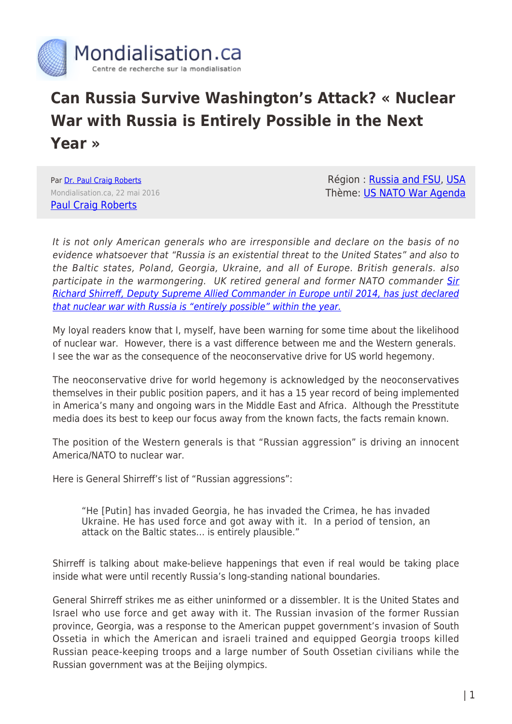

## **Can Russia Survive Washington's Attack? « Nuclear War with Russia is Entirely Possible in the Next Year »**

Par [Dr. Paul Craig Roberts](https://www.mondialisation.ca/author/paul-craig-roberts) Mondialisation.ca, 22 mai 2016 [Paul Craig Roberts](http://paulcraigroberts.org)

Région : [Russia and FSU,](https://www.mondialisation.ca/region/russia-and-fsu) [USA](https://www.mondialisation.ca/region/usa) Thème: [US NATO War Agenda](https://www.mondialisation.ca/theme/us-nato-war-agenda)

It is not only American generals who are irresponsible and declare on the basis of no evidence whatsoever that "Russia is an existential threat to the United States" and also to the Baltic states, Poland, Georgia, Ukraine, and all of Europe. British generals. also participate in the warmongering. UK retired general and former NATO commander [Sir](http://www.dailymail.co.uk/news/article-3596977/The-outbreak-nuclear-war-year-West-Putin-entirely-plausible-says-former-NATO-chief-promoting-novel-2017-war-Russia.html) [Richard Shirreff, Deputy Supreme Allied Commander in Europe until 2014, has just declared](http://www.dailymail.co.uk/news/article-3596977/The-outbreak-nuclear-war-year-West-Putin-entirely-plausible-says-former-NATO-chief-promoting-novel-2017-war-Russia.html) [that nuclear war with Russia is "entirely possible" within the year.](http://www.dailymail.co.uk/news/article-3596977/The-outbreak-nuclear-war-year-West-Putin-entirely-plausible-says-former-NATO-chief-promoting-novel-2017-war-Russia.html)

My loyal readers know that I, myself, have been warning for some time about the likelihood of nuclear war. However, there is a vast difference between me and the Western generals. I see the war as the consequence of the neoconservative drive for US world hegemony.

The neoconservative drive for world hegemony is acknowledged by the neoconservatives themselves in their public position papers, and it has a 15 year record of being implemented in America's many and ongoing wars in the Middle East and Africa. Although the Presstitute media does its best to keep our focus away from the known facts, the facts remain known.

The position of the Western generals is that "Russian aggression" is driving an innocent America/NATO to nuclear war.

Here is General Shirreff's list of "Russian aggressions":

"He [Putin] has invaded Georgia, he has invaded the Crimea, he has invaded Ukraine. He has used force and got away with it. In a period of tension, an attack on the Baltic states… is entirely plausible."

Shirreff is talking about make-believe happenings that even if real would be taking place inside what were until recently Russia's long-standing national boundaries.

General Shirreff strikes me as either uninformed or a dissembler. It is the United States and Israel who use force and get away with it. The Russian invasion of the former Russian province, Georgia, was a response to the American puppet government's invasion of South Ossetia in which the American and israeli trained and equipped Georgia troops killed Russian peace-keeping troops and a large number of South Ossetian civilians while the Russian government was at the Beijing olympics.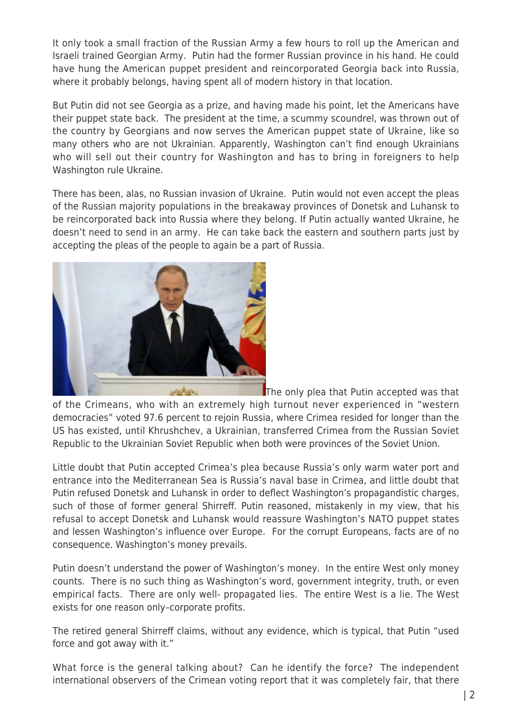It only took a small fraction of the Russian Army a few hours to roll up the American and Israeli trained Georgian Army. Putin had the former Russian province in his hand. He could have hung the American puppet president and reincorporated Georgia back into Russia, where it probably belongs, having spent all of modern history in that location.

But Putin did not see Georgia as a prize, and having made his point, let the Americans have their puppet state back. The president at the time, a scummy scoundrel, was thrown out of the country by Georgians and now serves the American puppet state of Ukraine, like so many others who are not Ukrainian. Apparently, Washington can't find enough Ukrainians who will sell out their country for Washington and has to bring in foreigners to help Washington rule Ukraine.

There has been, alas, no Russian invasion of Ukraine. Putin would not even accept the pleas of the Russian majority populations in the breakaway provinces of Donetsk and Luhansk to be reincorporated back into Russia where they belong. If Putin actually wanted Ukraine, he doesn't need to send in an army. He can take back the eastern and southern parts just by accepting the pleas of the people to again be a part of Russia.



[T](http://www.globalresearch.ca/wp-content/uploads/2016/02/Putin.jpg)he only plea that Putin accepted was that of the Crimeans, who with an extremely high turnout never experienced in "western democracies" voted 97.6 percent to rejoin Russia, where Crimea resided for longer than the US has existed, until Khrushchev, a Ukrainian, transferred Crimea from the Russian Soviet Republic to the Ukrainian Soviet Republic when both were provinces of the Soviet Union.

Little doubt that Putin accepted Crimea's plea because Russia's only warm water port and entrance into the Mediterranean Sea is Russia's naval base in Crimea, and little doubt that Putin refused Donetsk and Luhansk in order to deflect Washington's propagandistic charges, such of those of former general Shirreff. Putin reasoned, mistakenly in my view, that his refusal to accept Donetsk and Luhansk would reassure Washington's NATO puppet states and lessen Washington's influence over Europe. For the corrupt Europeans, facts are of no consequence. Washington's money prevails.

Putin doesn't understand the power of Washington's money. In the entire West only money counts. There is no such thing as Washington's word, government integrity, truth, or even empirical facts. There are only well- propagated lies. The entire West is a lie. The West exists for one reason only–corporate profits.

The retired general Shirreff claims, without any evidence, which is typical, that Putin "used force and got away with it."

What force is the general talking about? Can he identify the force? The independent international observers of the Crimean voting report that it was completely fair, that there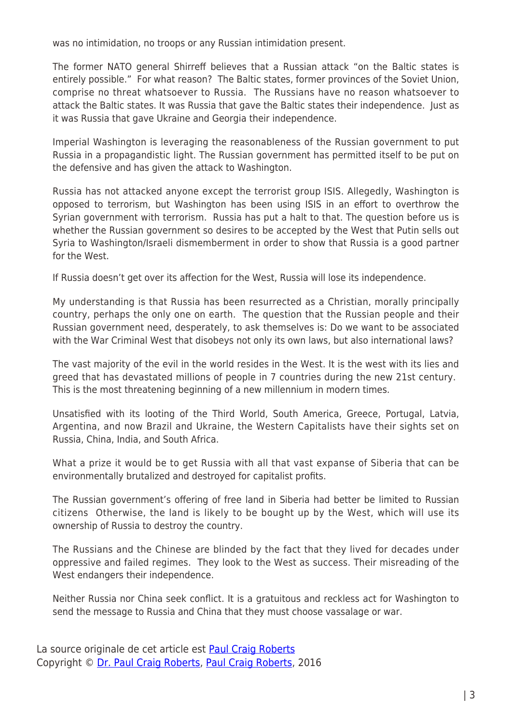was no intimidation, no troops or any Russian intimidation present.

The former NATO general Shirreff believes that a Russian attack "on the Baltic states is entirely possible." For what reason? The Baltic states, former provinces of the Soviet Union, comprise no threat whatsoever to Russia. The Russians have no reason whatsoever to attack the Baltic states. It was Russia that gave the Baltic states their independence. Just as it was Russia that gave Ukraine and Georgia their independence.

Imperial Washington is leveraging the reasonableness of the Russian government to put Russia in a propagandistic light. The Russian government has permitted itself to be put on the defensive and has given the attack to Washington.

Russia has not attacked anyone except the terrorist group ISIS. Allegedly, Washington is opposed to terrorism, but Washington has been using ISIS in an effort to overthrow the Syrian government with terrorism. Russia has put a halt to that. The question before us is whether the Russian government so desires to be accepted by the West that Putin sells out Syria to Washington/Israeli dismemberment in order to show that Russia is a good partner for the West.

If Russia doesn't get over its affection for the West, Russia will lose its independence.

My understanding is that Russia has been resurrected as a Christian, morally principally country, perhaps the only one on earth. The question that the Russian people and their Russian government need, desperately, to ask themselves is: Do we want to be associated with the War Criminal West that disobeys not only its own laws, but also international laws?

The vast majority of the evil in the world resides in the West. It is the west with its lies and greed that has devastated millions of people in 7 countries during the new 21st century. This is the most threatening beginning of a new millennium in modern times.

Unsatisfied with its looting of the Third World, South America, Greece, Portugal, Latvia, Argentina, and now Brazil and Ukraine, the Western Capitalists have their sights set on Russia, China, India, and South Africa.

What a prize it would be to get Russia with all that vast expanse of Siberia that can be environmentally brutalized and destroyed for capitalist profits.

The Russian government's offering of free land in Siberia had better be limited to Russian citizens Otherwise, the land is likely to be bought up by the West, which will use its ownership of Russia to destroy the country.

The Russians and the Chinese are blinded by the fact that they lived for decades under oppressive and failed regimes. They look to the West as success. Their misreading of the West endangers their independence.

Neither Russia nor China seek conflict. It is a gratuitous and reckless act for Washington to send the message to Russia and China that they must choose vassalage or war.

La source originale de cet article est [Paul Craig Roberts](http://paulcraigroberts.org) Copyright © [Dr. Paul Craig Roberts,](https://www.mondialisation.ca/author/paul-craig-roberts) [Paul Craig Roberts,](http://paulcraigroberts.org) 2016